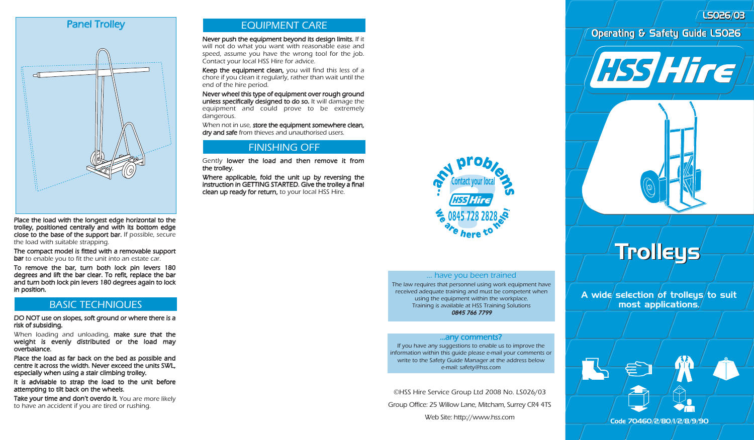LS026/03 LS026/03

# Panel Trolley



Place the load with the longest edge horizontal to the trolley, positioned centrally and with its bottom edge close to the base of the support bar. If possible, secure the load with suitable strapping.

The compact model is fitted with a removable support bar to enable you to fit the unit into an estate car.

To remove the bar, turn both lock pin levers 180 degrees and lift the bar clear. To refit, replace the bar and turn both lock pin levers 180 degrees again to lock in position.

# BASIC TECHNIQUES

DO NOT use on slopes, soft ground or where there is a risk of subsiding.

When loading and unloading, make sure that the weight is evenly distributed or the load may overbalance.

Place the load as far back on the bed as possible and centre it across the width. Never exceed the units SWL, especially when using a stair climbing trolley.

It is advisable to strap the load to the unit before attempting to tilt back on the wheels.

Take your time and don't overdo it. You are more likely to have an accident if you are tired or rushing.

# EQUIPMENT CARE

Never push the equipment beyond its design limits. If it will not do what you want with reasonable ease and speed, assume you have the wrong tool for the job. Contact your local HSS Hire for advice.

Keep the equipment clean, you will find this less of a chore if you clean it regularly, rather than wait until the end of the hire period.

Never wheel this type of equipment over rough ground unless specifically designed to do so. It will damage the equipment and could prove to be extremely dangerous.

When not in use, store the equipment somewhere clean, dry and safe from thieves and unauthorised users.

# FINISHING OFF

Gently lower the load and then remove it from the trolley.

Where applicable, fold the unit up by reversing the instruction in GETTING STARTED. Give the trolley a final clean up ready for return, to your local HSS Hire.



#### ... have you been trained

The law requires that personnel using work equipment have received adequate training and must be competent when using the equipment within the workplace. Training is available at HSS Training Solutions 0845 766 7799

#### …any comments?

If you have any suggestions to enable us to improve the information within this guide please e-mail your comments or write to the Safety Guide Manager at the address below e-mail: safety@hss.com

©HSS Hire Service Group Ltd 2008 No. LS026/03 Group Office: 25 Willow Lane, Mitcham, Surrey CR4 4TS Web Site: http://www.hss.com

# Operating & Safety Guide LS026



# Trolleys Trolleys

A wide selection of trolleys to suit most applications.